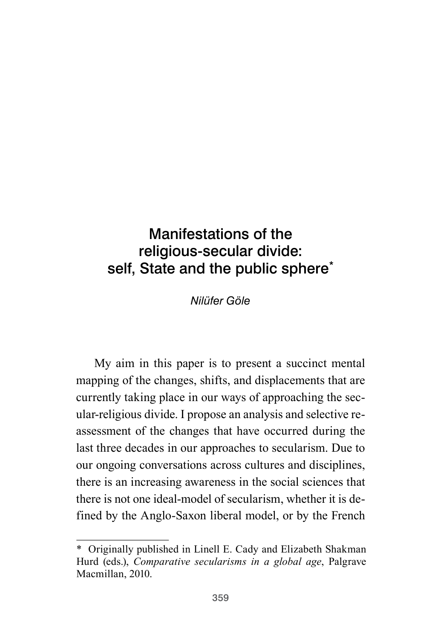# Manifestations of the religious-secular divide: self, State and the public sphere<sup>\*</sup>

*Nilüfer Göle*

My aim in this paper is to present a succinct mental mapping of the changes, shifts, and displacements that are currently taking place in our ways of approaching the secular-religious divide. I propose an analysis and selective reassessment of the changes that have occurred during the last three decades in our approaches to secularism. Due to our ongoing conversations across cultures and disciplines, there is an increasing awareness in the social sciences that there is not one ideal-model of secularism, whether it is defined by the Anglo-Saxon liberal model, or by the French

<sup>\*</sup> Originally published in Linell E. Cady and Elizabeth Shakman Hurd (eds.), *Comparative secularisms in a global age*, Palgrave Macmillan, 2010.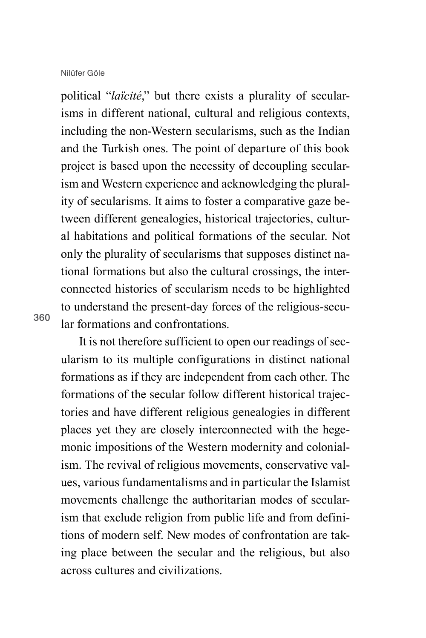political "*laïcité*," but there exists a plurality of secularisms in different national, cultural and religious contexts, including the non-Western secularisms, such as the Indian and the Turkish ones. The point of departure of this book project is based upon the necessity of decoupling secularism and Western experience and acknowledging the plurality of secularisms. It aims to foster a comparative gaze between different genealogies, historical trajectories, cultural habitations and political formations of the secular. Not only the plurality of secularisms that supposes distinct national formations but also the cultural crossings, the interconnected histories of secularism needs to be highlighted to understand the present-day forces of the religious-secular formations and confrontations.

360

It is not therefore sufficient to open our readings of secularism to its multiple configurations in distinct national formations as if they are independent from each other. The formations of the secular follow different historical trajectories and have different religious genealogies in different places yet they are closely interconnected with the hegemonic impositions of the Western modernity and colonialism. The revival of religious movements, conservative values, various fundamentalisms and in particular the Islamist movements challenge the authoritarian modes of secularism that exclude religion from public life and from definitions of modern self. New modes of confrontation are taking place between the secular and the religious, but also across cultures and civilizations.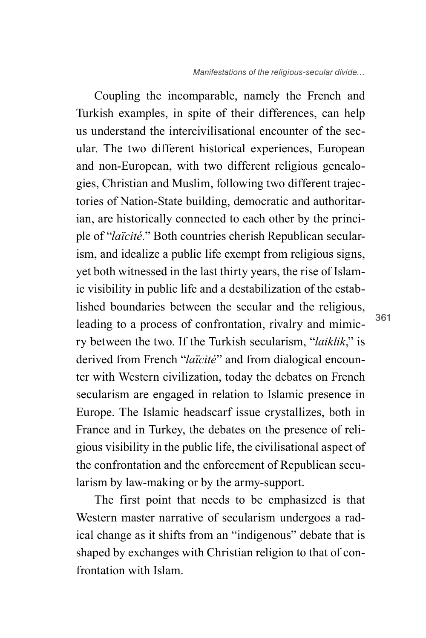Coupling the incomparable, namely the French and Turkish examples, in spite of their differences, can help us understand the intercivilisational encounter of the secular. The two different historical experiences, European and non-European, with two different religious genealogies, Christian and Muslim, following two different trajectories of Nation-State building, democratic and authoritarian, are historically connected to each other by the principle of "*laïcité.*" Both countries cherish Republican secularism, and idealize a public life exempt from religious signs, yet both witnessed in the last thirty years, the rise of Islamic visibility in public life and a destabilization of the established boundaries between the secular and the religious, leading to a process of confrontation, rivalry and mimicry between the two. If the Turkish secularism, "*laiklik*," is derived from French "*laïcité*" and from dialogical encounter with Western civilization, today the debates on French secularism are engaged in relation to Islamic presence in Europe. The Islamic headscarf issue crystallizes, both in France and in Turkey, the debates on the presence of religious visibility in the public life, the civilisational aspect of the confrontation and the enforcement of Republican secularism by law-making or by the army-support.

The first point that needs to be emphasized is that Western master narrative of secularism undergoes a radical change as it shifts from an "indigenous" debate that is shaped by exchanges with Christian religion to that of confrontation with Islam.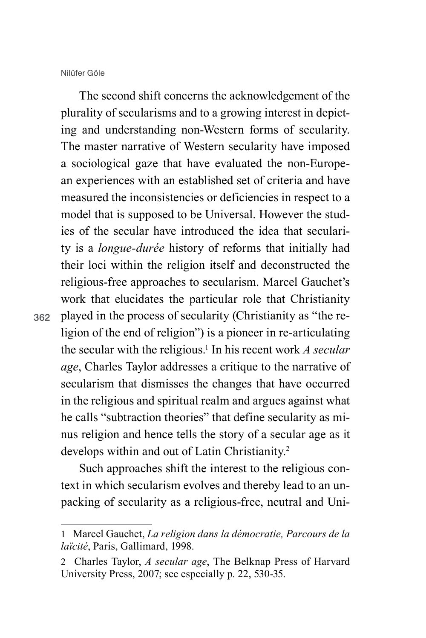362

The second shift concerns the acknowledgement of the plurality of secularisms and to a growing interest in depicting and understanding non-Western forms of secularity. The master narrative of Western secularity have imposed a sociological gaze that have evaluated the non-European experiences with an established set of criteria and have measured the inconsistencies or deficiencies in respect to a model that is supposed to be Universal. However the studies of the secular have introduced the idea that secularity is a *longue-durée* history of reforms that initially had their loci within the religion itself and deconstructed the religious-free approaches to secularism. Marcel Gauchet's work that elucidates the particular role that Christianity played in the process of secularity (Christianity as "the religion of the end of religion") is a pioneer in re-articulating the secular with the religious.<sup>1</sup> In his recent work *A secular age*, Charles Taylor addresses a critique to the narrative of secularism that dismisses the changes that have occurred in the religious and spiritual realm and argues against what he calls "subtraction theories" that define secularity as minus religion and hence tells the story of a secular age as it develops within and out of Latin Christianity.2

Such approaches shift the interest to the religious context in which secularism evolves and thereby lead to an unpacking of secularity as a religious-free, neutral and Uni-

<sup>1</sup> Marcel Gauchet, *La religion dans la démocratie, Parcours de la laïcité*, Paris, Gallimard, 1998.

<sup>2</sup> Charles Taylor, *A secular age*, The Belknap Press of Harvard University Press, 2007; see especially p. 22, 530-35.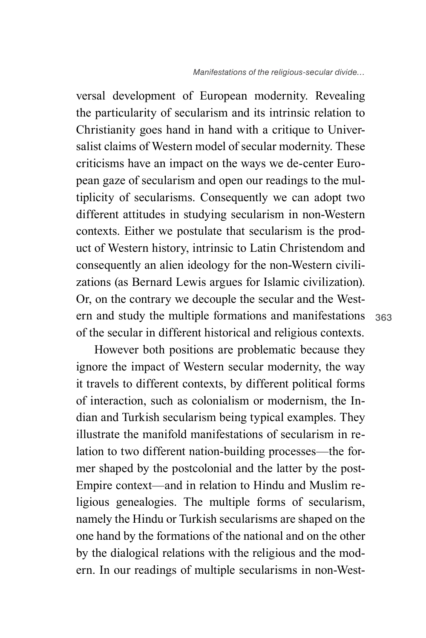versal development of European modernity. Revealing the particularity of secularism and its intrinsic relation to Christianity goes hand in hand with a critique to Universalist claims of Western model of secular modernity. These criticisms have an impact on the ways we de-center European gaze of secularism and open our readings to the multiplicity of secularisms. Consequently we can adopt two different attitudes in studying secularism in non-Western contexts. Either we postulate that secularism is the product of Western history, intrinsic to Latin Christendom and consequently an alien ideology for the non-Western civilizations (as Bernard Lewis argues for Islamic civilization). Or, on the contrary we decouple the secular and the Western and study the multiple formations and manifestations of the secular in different historical and religious contexts.

However both positions are problematic because they ignore the impact of Western secular modernity, the way it travels to different contexts, by different political forms of interaction, such as colonialism or modernism, the Indian and Turkish secularism being typical examples. They illustrate the manifold manifestations of secularism in relation to two different nation-building processes—the former shaped by the postcolonial and the latter by the post-Empire context—and in relation to Hindu and Muslim religious genealogies. The multiple forms of secularism, namely the Hindu or Turkish secularisms are shaped on the one hand by the formations of the national and on the other by the dialogical relations with the religious and the modern. In our readings of multiple secularisms in non-West-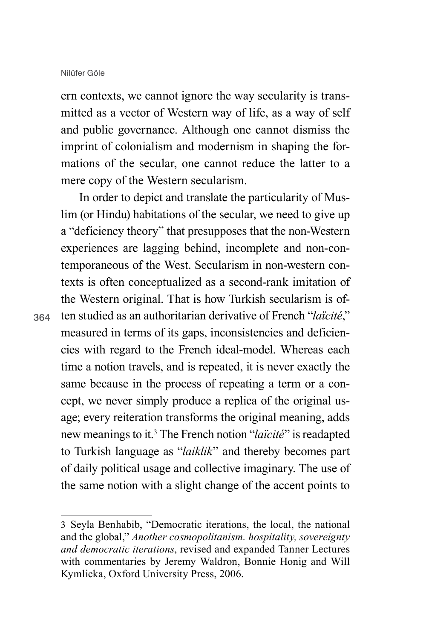ern contexts, we cannot ignore the way secularity is transmitted as a vector of Western way of life, as a way of self and public governance. Although one cannot dismiss the imprint of colonialism and modernism in shaping the formations of the secular, one cannot reduce the latter to a mere copy of the Western secularism.

In order to depict and translate the particularity of Muslim (or Hindu) habitations of the secular, we need to give up a "deficiency theory" that presupposes that the non-Western experiences are lagging behind, incomplete and non-contemporaneous of the West. Secularism in non-western contexts is often conceptualized as a second-rank imitation of the Western original. That is how Turkish secularism is often studied as an authoritarian derivative of French "*laïcité*," measured in terms of its gaps, inconsistencies and deficiencies with regard to the French ideal-model. Whereas each time a notion travels, and is repeated, it is never exactly the same because in the process of repeating a term or a concept, we never simply produce a replica of the original usage; every reiteration transforms the original meaning, adds new meanings to it.3 The French notion "*laïcité*" is readapted to Turkish language as "*laiklik*" and thereby becomes part of daily political usage and collective imaginary. The use of the same notion with a slight change of the accent points to

<sup>3</sup> Seyla Benhabib, "Democratic iterations, the local, the national and the global," *Another cosmopolitanism. hospitality, sovereignty and democratic iterations*, revised and expanded Tanner Lectures with commentaries by Jeremy Waldron, Bonnie Honig and Will Kymlicka, Oxford University Press, 2006.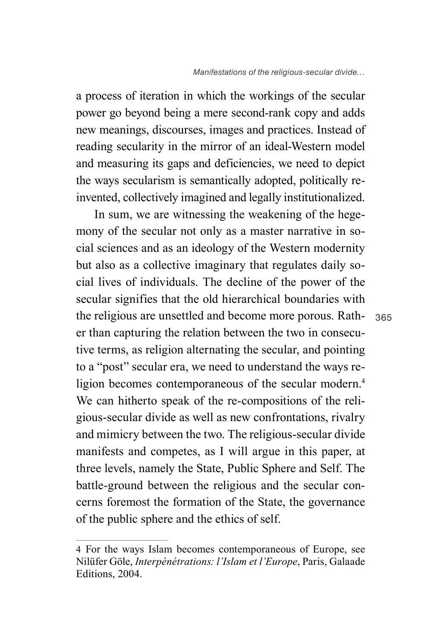a process of iteration in which the workings of the secular power go beyond being a mere second-rank copy and adds new meanings, discourses, images and practices. Instead of reading secularity in the mirror of an ideal-Western model and measuring its gaps and deficiencies, we need to depict the ways secularism is semantically adopted, politically reinvented, collectively imagined and legally institutionalized.

In sum, we are witnessing the weakening of the hegemony of the secular not only as a master narrative in social sciences and as an ideology of the Western modernity but also as a collective imaginary that regulates daily social lives of individuals. The decline of the power of the secular signifies that the old hierarchical boundaries with the religious are unsettled and become more porous. Rather than capturing the relation between the two in consecutive terms, as religion alternating the secular, and pointing to a "post" secular era, we need to understand the ways religion becomes contemporaneous of the secular modern.<sup>4</sup> We can hitherto speak of the re-compositions of the religious-secular divide as well as new confrontations, rivalry and mimicry between the two. The religious-secular divide manifests and competes, as I will argue in this paper, at three levels, namely the State, Public Sphere and Self. The battle-ground between the religious and the secular concerns foremost the formation of the State, the governance of the public sphere and the ethics of self.

<sup>4</sup> For the ways Islam becomes contemporaneous of Europe, see Nilüfer Göle, *Interpénétrations: l'Islam et l'Europe*, Paris, Galaade Editions, 2004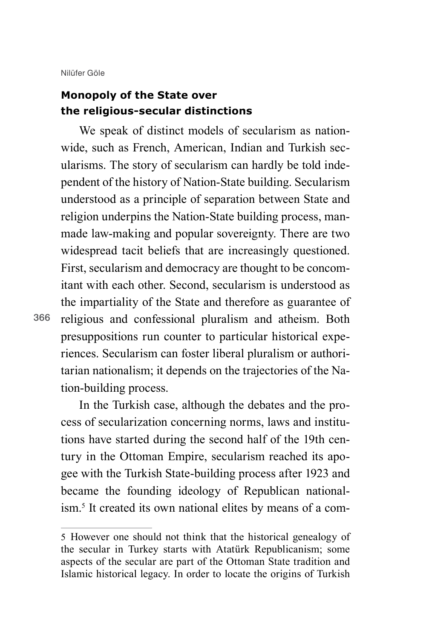## **Monopoly of the State over the religious-secular distinctions**

We speak of distinct models of secularism as nationwide, such as French, American, Indian and Turkish secularisms. The story of secularism can hardly be told independent of the history of Nation-State building. Secularism understood as a principle of separation between State and religion underpins the Nation-State building process, manmade law-making and popular sovereignty. There are two widespread tacit beliefs that are increasingly questioned. First, secularism and democracy are thought to be concomitant with each other. Second, secularism is understood as the impartiality of the State and therefore as guarantee of religious and confessional pluralism and atheism. Both presuppositions run counter to particular historical experiences. Secularism can foster liberal pluralism or authoritarian nationalism; it depends on the trajectories of the Nation-building process.

In the Turkish case, although the debates and the process of secularization concerning norms, laws and institutions have started during the second half of the 19th century in the Ottoman Empire, secularism reached its apogee with the Turkish State-building process after 1923 and became the founding ideology of Republican nationalism.<sup>5</sup> It created its own national elites by means of a com-

<sup>5</sup> However one should not think that the historical genealogy of the secular in Turkey starts with Atatürk Republicanism; some aspects of the secular are part of the Ottoman State tradition and Islamic historical legacy. In order to locate the origins of Turkish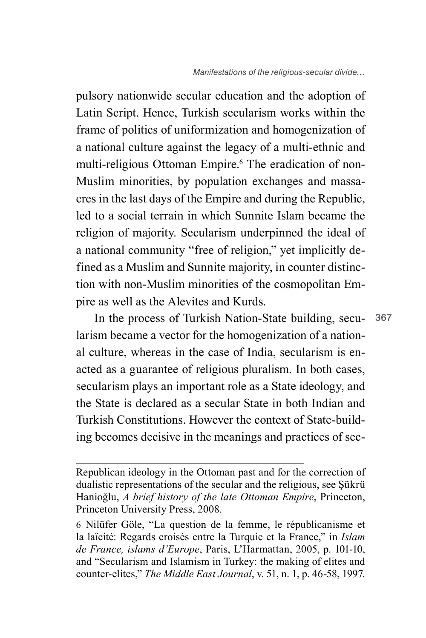pulsory nationwide secular education and the adoption of Latin Script. Hence, Turkish secularism works within the frame of politics of uniformization and homogenization of a national culture against the legacy of a multi-ethnic and multi-religious Ottoman Empire.<sup>6</sup> The eradication of non-Muslim minorities, by population exchanges and massacres in the last days of the Empire and during the Republic, led to a social terrain in which Sunnite Islam became the religion of majority. Secularism underpinned the ideal of a national community "free of religion," yet implicitly defined as a Muslim and Sunnite majority, in counter distinction with non-Muslim minorities of the cosmopolitan Empire as well as the Alevites and Kurds.

In the process of Turkish Nation-State building, secularism became a vector for the homogenization of a national culture, whereas in the case of India, secularism is enacted as a guarantee of religious pluralism. In both cases, secularism plays an important role as a State ideology, and the State is declared as a secular State in both Indian and Turkish Constitutions. However the context of State-building becomes decisive in the meanings and practices of sec-

Republican ideology in the Ottoman past and for the correction of dualistic representations of the secular and the religious, see Şükrü Hanioğlu, *A brief history of the late Ottoman Empire*, Princeton, Princeton University Press, 2008.

<sup>6</sup> Nilüfer Göle, "La question de la femme, le républicanisme et la laïcité: Regards croisés entre la Turquie et la France," in *Islam de France, islams d'Europe*, Paris, L'Harmattan, 2005, p. 101-10, and "Secularism and Islamism in Turkey: the making of elites and counter-elites," *The Middle East Journal*, v. 51, n. 1, p. 46-58, 1997.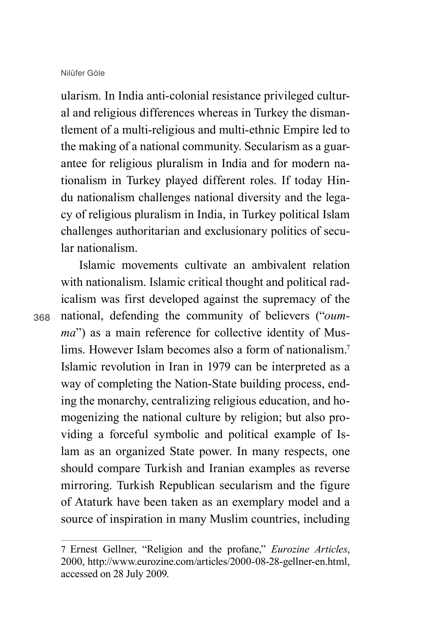ularism. In India anti-colonial resistance privileged cultural and religious differences whereas in Turkey the dismantlement of a multi-religious and multi-ethnic Empire led to the making of a national community. Secularism as a guarantee for religious pluralism in India and for modern nationalism in Turkey played different roles. If today Hindu nationalism challenges national diversity and the legacy of religious pluralism in India, in Turkey political Islam challenges authoritarian and exclusionary politics of secular nationalism.

Islamic movements cultivate an ambivalent relation with nationalism. Islamic critical thought and political radicalism was first developed against the supremacy of the national, defending the community of believers ("*oumma*") as a main reference for collective identity of Muslims. However Islam becomes also a form of nationalism.7 Islamic revolution in Iran in 1979 can be interpreted as a way of completing the Nation-State building process, ending the monarchy, centralizing religious education, and homogenizing the national culture by religion; but also providing a forceful symbolic and political example of Islam as an organized State power. In many respects, one should compare Turkish and Iranian examples as reverse mirroring. Turkish Republican secularism and the figure of Ataturk have been taken as an exemplary model and a source of inspiration in many Muslim countries, including

<sup>7</sup> Ernest Gellner, "Religion and the profane," *Eurozine Articles*, 2000, http://www.eurozine.com/articles/2000-08-28-gellner-en.html, accessed on 28 July 2009.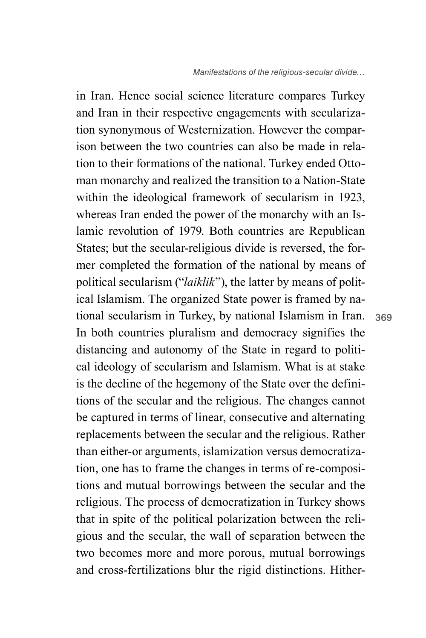in Iran. Hence social science literature compares Turkey and Iran in their respective engagements with secularization synonymous of Westernization. However the comparison between the two countries can also be made in relation to their formations of the national. Turkey ended Ottoman monarchy and realized the transition to a Nation-State within the ideological framework of secularism in 1923, whereas Iran ended the power of the monarchy with an Islamic revolution of 1979. Both countries are Republican States; but the secular-religious divide is reversed, the former completed the formation of the national by means of political secularism ("*laiklik*"), the latter by means of political Islamism. The organized State power is framed by national secularism in Turkey, by national Islamism in Iran. In both countries pluralism and democracy signifies the distancing and autonomy of the State in regard to political ideology of secularism and Islamism. What is at stake is the decline of the hegemony of the State over the definitions of the secular and the religious. The changes cannot be captured in terms of linear, consecutive and alternating replacements between the secular and the religious. Rather than either-or arguments, islamization versus democratization, one has to frame the changes in terms of re-compositions and mutual borrowings between the secular and the religious. The process of democratization in Turkey shows that in spite of the political polarization between the religious and the secular, the wall of separation between the two becomes more and more porous, mutual borrowings and cross-fertilizations blur the rigid distinctions. Hither-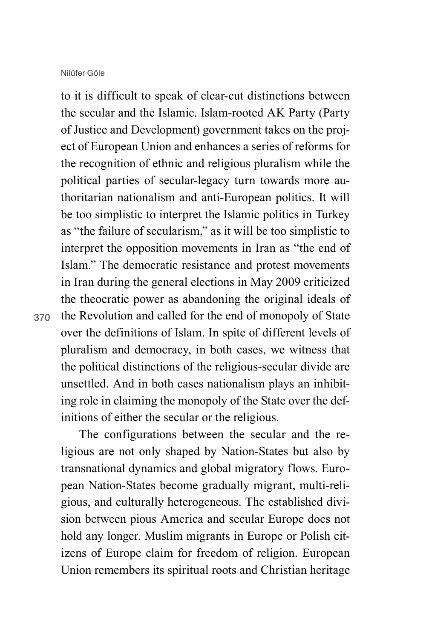to it is difficult to speak of clear-cut distinctions between the secular and the Islamic. Islam-rooted AK Party (Party of Justice and Development) government takes on the project of European Union and enhances a series of reforms for the recognition of ethnic and religious pluralism while the political parties of secular-legacy turn towards more authoritarian nationalism and anti-European politics. It will be too simplistic to interpret the Islamic politics in Turkey as "the failure of secularism," as it will be too simplistic to interpret the opposition movements in Iran as "the end of Islam." The democratic resistance and protest movements in Iran during the general elections in May 2009 criticized the theocratic power as abandoning the original ideals of the Revolution and called for the end of monopoly of State over the definitions of Islam. In spite of different levels of pluralism and democracy, in both cases, we witness that the political distinctions of the religious-secular divide are unsettled. And in both cases nationalism plays an inhibiting role in claiming the monopoly of the State over the definitions of either the secular or the religious.

The configurations between the secular and the religious are not only shaped by Nation-States but also by transnational dynamics and global migratory flows. European Nation-States become gradually migrant, multi-religious, and culturally heterogeneous. The established division between pious America and secular Europe does not hold any longer. Muslim migrants in Europe or Polish citizens of Europe claim for freedom of religion. European Union remembers its spiritual roots and Christian heritage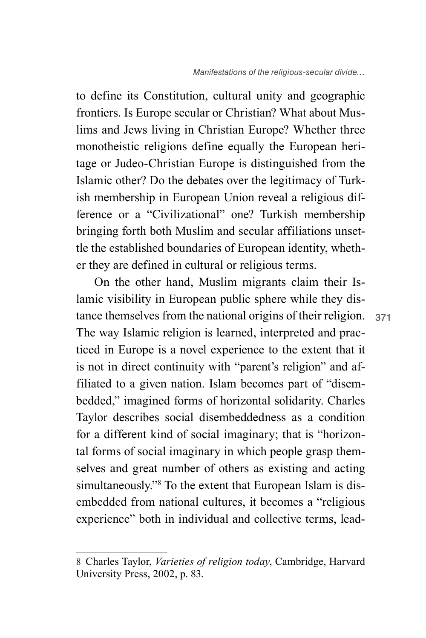to define its Constitution, cultural unity and geographic frontiers. Is Europe secular or Christian? What about Muslims and Jews living in Christian Europe? Whether three monotheistic religions define equally the European heritage or Judeo-Christian Europe is distinguished from the Islamic other? Do the debates over the legitimacy of Turkish membership in European Union reveal a religious difference or a "Civilizational" one? Turkish membership bringing forth both Muslim and secular affiliations unsettle the established boundaries of European identity, whether they are defined in cultural or religious terms.

On the other hand, Muslim migrants claim their Islamic visibility in European public sphere while they distance themselves from the national origins of their religion. The way Islamic religion is learned, interpreted and practiced in Europe is a novel experience to the extent that it is not in direct continuity with "parent's religion" and affiliated to a given nation. Islam becomes part of "disembedded," imagined forms of horizontal solidarity. Charles Taylor describes social disembeddedness as a condition for a different kind of social imaginary; that is "horizontal forms of social imaginary in which people grasp themselves and great number of others as existing and acting simultaneously."<sup>8</sup> To the extent that European Islam is disembedded from national cultures, it becomes a "religious experience" both in individual and collective terms, lead-

<sup>8</sup> Charles Taylor, *Varieties of religion today*, Cambridge, Harvard University Press, 2002, p. 83.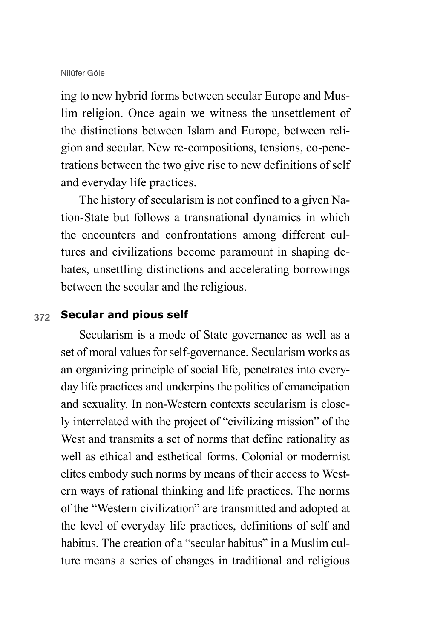ing to new hybrid forms between secular Europe and Muslim religion. Once again we witness the unsettlement of the distinctions between Islam and Europe, between religion and secular. New re-compositions, tensions, co-penetrations between the two give rise to new definitions of self and everyday life practices.

The history of secularism is not confined to a given Nation-State but follows a transnational dynamics in which the encounters and confrontations among different cultures and civilizations become paramount in shaping debates, unsettling distinctions and accelerating borrowings between the secular and the religious.

### 372 **Secular and pious self**

Secularism is a mode of State governance as well as a set of moral values for self-governance. Secularism works as an organizing principle of social life, penetrates into everyday life practices and underpins the politics of emancipation and sexuality. In non-Western contexts secularism is closely interrelated with the project of "civilizing mission" of the West and transmits a set of norms that define rationality as well as ethical and esthetical forms. Colonial or modernist elites embody such norms by means of their access to Western ways of rational thinking and life practices. The norms of the "Western civilization" are transmitted and adopted at the level of everyday life practices, definitions of self and habitus. The creation of a "secular habitus" in a Muslim culture means a series of changes in traditional and religious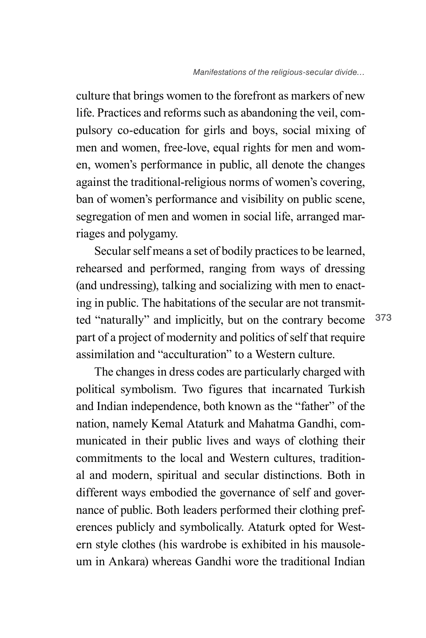culture that brings women to the forefront as markers of new life. Practices and reforms such as abandoning the veil, compulsory co-education for girls and boys, social mixing of men and women, free-love, equal rights for men and women, women's performance in public, all denote the changes against the traditional-religious norms of women's covering, ban of women's performance and visibility on public scene, segregation of men and women in social life, arranged marriages and polygamy.

Secular self means a set of bodily practices to be learned, rehearsed and performed, ranging from ways of dressing (and undressing), talking and socializing with men to enacting in public. The habitations of the secular are not transmitted "naturally" and implicitly, but on the contrary become part of a project of modernity and politics of self that require assimilation and "acculturation" to a Western culture.

The changes in dress codes are particularly charged with political symbolism. Two figures that incarnated Turkish and Indian independence, both known as the "father" of the nation, namely Kemal Ataturk and Mahatma Gandhi, communicated in their public lives and ways of clothing their commitments to the local and Western cultures, traditional and modern, spiritual and secular distinctions. Both in different ways embodied the governance of self and governance of public. Both leaders performed their clothing preferences publicly and symbolically. Ataturk opted for Western style clothes (his wardrobe is exhibited in his mausoleum in Ankara) whereas Gandhi wore the traditional Indian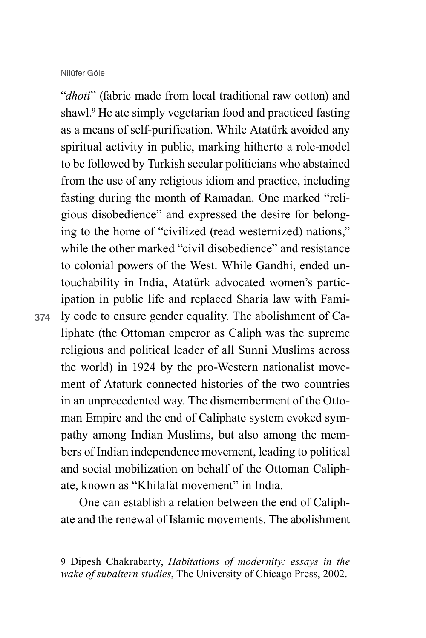374

"*dhoti*" (fabric made from local traditional raw cotton) and shawl.9 He ate simply vegetarian food and practiced fasting as a means of self-purification. While Atatürk avoided any spiritual activity in public, marking hitherto a role-model to be followed by Turkish secular politicians who abstained from the use of any religious idiom and practice, including fasting during the month of Ramadan. One marked "religious disobedience" and expressed the desire for belonging to the home of "civilized (read westernized) nations," while the other marked "civil disobedience" and resistance to colonial powers of the West. While Gandhi, ended untouchability in India, Atatürk advocated women's participation in public life and replaced Sharia law with Family code to ensure gender equality. The abolishment of Caliphate (the Ottoman emperor as Caliph was the supreme religious and political leader of all Sunni Muslims across the world) in 1924 by the pro-Western nationalist movement of Ataturk connected histories of the two countries in an unprecedented way. The dismemberment of the Ottoman Empire and the end of Caliphate system evoked sympathy among Indian Muslims, but also among the members of Indian independence movement, leading to political and social mobilization on behalf of the Ottoman Caliphate, known as "Khilafat movement" in India.

One can establish a relation between the end of Caliphate and the renewal of Islamic movements. The abolishment

<sup>9</sup> Dipesh Chakrabarty, *Habitations of modernity: essays in the wake of subaltern studies*, The University of Chicago Press, 2002.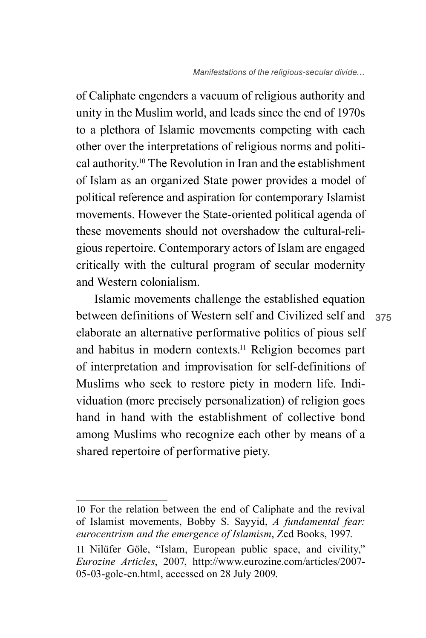of Caliphate engenders a vacuum of religious authority and unity in the Muslim world, and leads since the end of 1970s to a plethora of Islamic movements competing with each other over the interpretations of religious norms and political authority.10 The Revolution in Iran and the establishment of Islam as an organized State power provides a model of political reference and aspiration for contemporary Islamist movements. However the State-oriented political agenda of these movements should not overshadow the cultural-religious repertoire. Contemporary actors of Islam are engaged critically with the cultural program of secular modernity and Western colonialism.

between definitions of Western self and Civilized self and 375 Islamic movements challenge the established equation elaborate an alternative performative politics of pious self and habitus in modern contexts.11 Religion becomes part of interpretation and improvisation for self-definitions of Muslims who seek to restore piety in modern life. Individuation (more precisely personalization) of religion goes hand in hand with the establishment of collective bond among Muslims who recognize each other by means of a shared repertoire of performative piety.

<sup>10</sup> For the relation between the end of Caliphate and the revival of Islamist movements, Bobby S. Sayyid, *A fundamental fear: eurocentrism and the emergence of Islamism*, Zed Books, 1997.

<sup>11</sup> Nilüfer Göle, "Islam, European public space, and civility," *Eurozine Articles*, 2007, http://www.eurozine.com/articles/2007- 05-03-gole-en.html, accessed on 28 July 2009.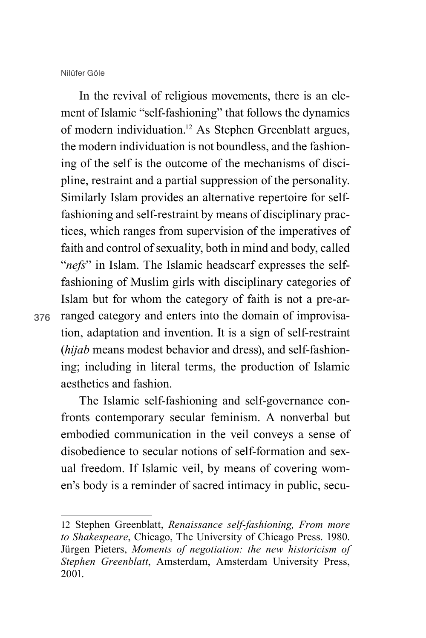376

In the revival of religious movements, there is an element of Islamic "self-fashioning" that follows the dynamics of modern individuation.12 As Stephen Greenblatt argues, the modern individuation is not boundless, and the fashioning of the self is the outcome of the mechanisms of discipline, restraint and a partial suppression of the personality. Similarly Islam provides an alternative repertoire for selffashioning and self-restraint by means of disciplinary practices, which ranges from supervision of the imperatives of faith and control of sexuality, both in mind and body, called "*nefs*" in Islam. The Islamic headscarf expresses the selffashioning of Muslim girls with disciplinary categories of Islam but for whom the category of faith is not a pre-arranged category and enters into the domain of improvisation, adaptation and invention. It is a sign of self-restraint (*hijab* means modest behavior and dress), and self-fashioning; including in literal terms, the production of Islamic aesthetics and fashion.

The Islamic self-fashioning and self-governance confronts contemporary secular feminism. A nonverbal but embodied communication in the veil conveys a sense of disobedience to secular notions of self-formation and sexual freedom. If Islamic veil, by means of covering women's body is a reminder of sacred intimacy in public, secu-

<sup>12</sup> Stephen Greenblatt, *Renaissance self-fashioning, From more to Shakespeare*, Chicago, The University of Chicago Press. 1980. Jürgen Pieters, *Moments of negotiation: the new historicism of Stephen Greenblatt*, Amsterdam, Amsterdam University Press, 2001.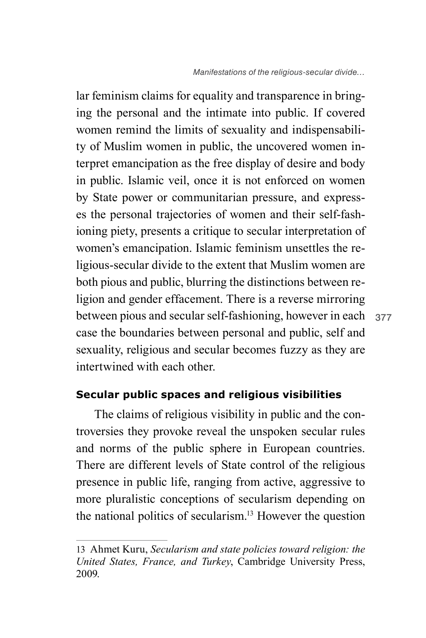between pious and secular self-fashioning, however in each 377 lar feminism claims for equality and transparence in bringing the personal and the intimate into public. If covered women remind the limits of sexuality and indispensability of Muslim women in public, the uncovered women interpret emancipation as the free display of desire and body in public. Islamic veil, once it is not enforced on women by State power or communitarian pressure, and expresses the personal trajectories of women and their self-fashioning piety, presents a critique to secular interpretation of women's emancipation. Islamic feminism unsettles the religious-secular divide to the extent that Muslim women are both pious and public, blurring the distinctions between religion and gender effacement. There is a reverse mirroring case the boundaries between personal and public, self and sexuality, religious and secular becomes fuzzy as they are intertwined with each other.

## **Secular public spaces and religious visibilities**

The claims of religious visibility in public and the controversies they provoke reveal the unspoken secular rules and norms of the public sphere in European countries. There are different levels of State control of the religious presence in public life, ranging from active, aggressive to more pluralistic conceptions of secularism depending on the national politics of secularism.13 However the question

<sup>13</sup> Ahmet Kuru, *Secularism and state policies toward religion: the United States, France, and Turkey*, Cambridge University Press, 2009.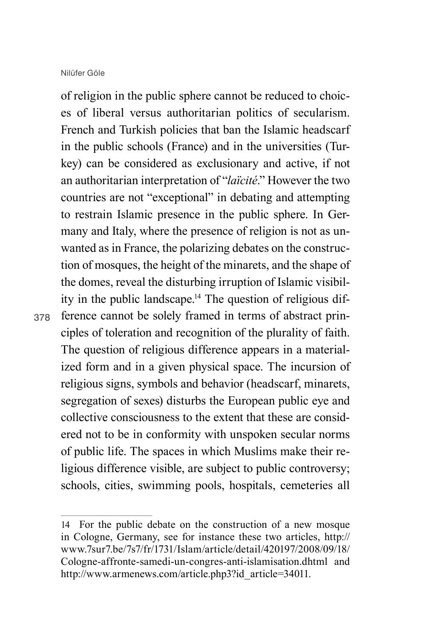of religion in the public sphere cannot be reduced to choices of liberal versus authoritarian politics of secularism. French and Turkish policies that ban the Islamic headscarf in the public schools (France) and in the universities (Turkey) can be considered as exclusionary and active, if not an authoritarian interpretation of "*laïcité*." However the two countries are not "exceptional" in debating and attempting to restrain Islamic presence in the public sphere. In Germany and Italy, where the presence of religion is not as unwanted as in France, the polarizing debates on the construction of mosques, the height of the minarets, and the shape of the domes, reveal the disturbing irruption of Islamic visibility in the public landscape.14 The question of religious difference cannot be solely framed in terms of abstract principles of toleration and recognition of the plurality of faith. The question of religious difference appears in a materialized form and in a given physical space. The incursion of religious signs, symbols and behavior (headscarf, minarets, segregation of sexes) disturbs the European public eye and collective consciousness to the extent that these are considered not to be in conformity with unspoken secular norms of public life. The spaces in which Muslims make their religious difference visible, are subject to public controversy; schools, cities, swimming pools, hospitals, cemeteries all

<sup>14</sup> For the public debate on the construction of a new mosque in Cologne, Germany, see for instance these two articles, http:// www.7sur7.be/7s7/fr/1731/Islam/article/detail/420197/2008/09/18/ Cologne-affronte-samedi-un-congres-anti-islamisation.dhtml and http://www.armenews.com/article.php3?id\_article=34011.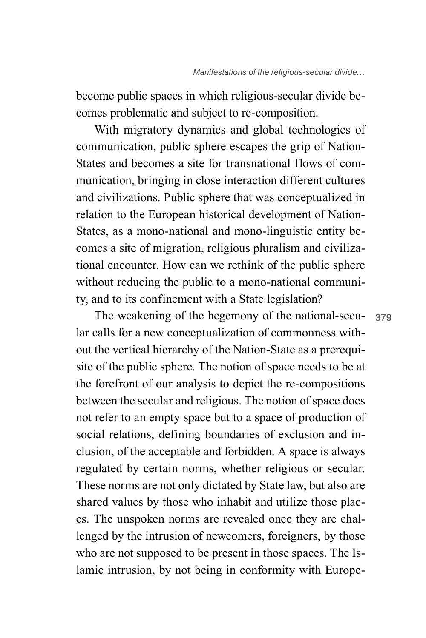become public spaces in which religious-secular divide becomes problematic and subject to re-composition.

With migratory dynamics and global technologies of communication, public sphere escapes the grip of Nation-States and becomes a site for transnational flows of communication, bringing in close interaction different cultures and civilizations. Public sphere that was conceptualized in relation to the European historical development of Nation-States, as a mono-national and mono-linguistic entity becomes a site of migration, religious pluralism and civilizational encounter. How can we rethink of the public sphere without reducing the public to a mono-national community, and to its confinement with a State legislation?

The weakening of the hegemony of the national-secular calls for a new conceptualization of commonness without the vertical hierarchy of the Nation-State as a prerequisite of the public sphere. The notion of space needs to be at the forefront of our analysis to depict the re-compositions between the secular and religious. The notion of space does not refer to an empty space but to a space of production of social relations, defining boundaries of exclusion and inclusion, of the acceptable and forbidden. A space is always regulated by certain norms, whether religious or secular. These norms are not only dictated by State law, but also are shared values by those who inhabit and utilize those places. The unspoken norms are revealed once they are challenged by the intrusion of newcomers, foreigners, by those who are not supposed to be present in those spaces. The Islamic intrusion, by not being in conformity with Europe-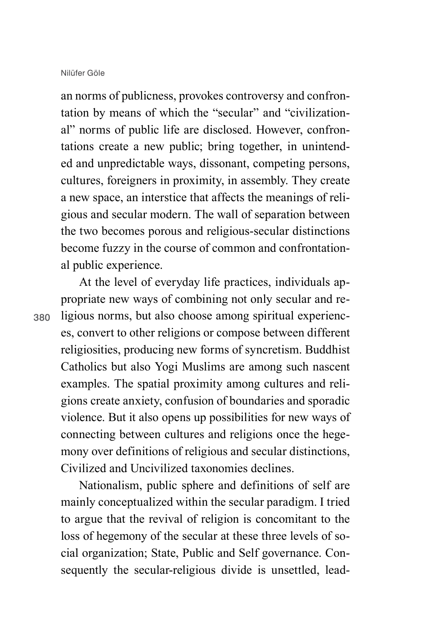an norms of publicness, provokes controversy and confrontation by means of which the "secular" and "civilizational" norms of public life are disclosed. However, confrontations create a new public; bring together, in unintended and unpredictable ways, dissonant, competing persons, cultures, foreigners in proximity, in assembly. They create a new space, an interstice that affects the meanings of religious and secular modern. The wall of separation between the two becomes porous and religious-secular distinctions become fuzzy in the course of common and confrontational public experience.

380

At the level of everyday life practices, individuals appropriate new ways of combining not only secular and religious norms, but also choose among spiritual experiences, convert to other religions or compose between different religiosities, producing new forms of syncretism. Buddhist Catholics but also Yogi Muslims are among such nascent examples. The spatial proximity among cultures and religions create anxiety, confusion of boundaries and sporadic violence. But it also opens up possibilities for new ways of connecting between cultures and religions once the hegemony over definitions of religious and secular distinctions, Civilized and Uncivilized taxonomies declines.

Nationalism, public sphere and definitions of self are mainly conceptualized within the secular paradigm. I tried to argue that the revival of religion is concomitant to the loss of hegemony of the secular at these three levels of social organization; State, Public and Self governance. Consequently the secular-religious divide is unsettled, lead-